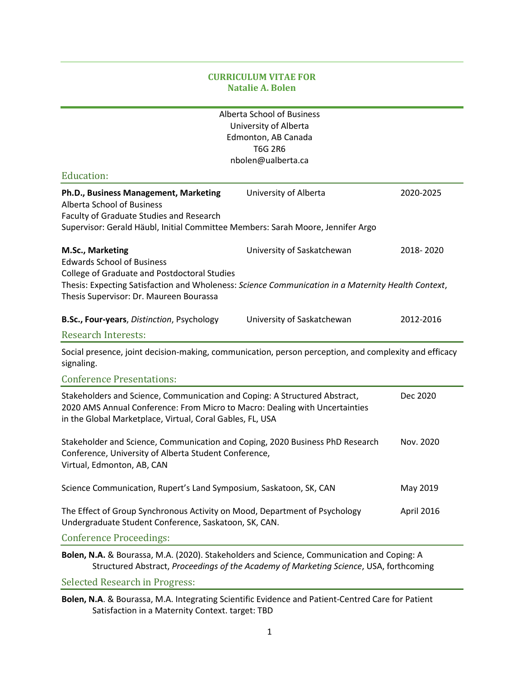# **CURRICULUM VITAE FOR Natalie A. Bolen**

|                                                                                                                                                                                                                        | <b>Alberta School of Business</b><br>University of Alberta |            |  |
|------------------------------------------------------------------------------------------------------------------------------------------------------------------------------------------------------------------------|------------------------------------------------------------|------------|--|
|                                                                                                                                                                                                                        | Edmonton, AB Canada                                        |            |  |
|                                                                                                                                                                                                                        | <b>T6G 2R6</b><br>nbolen@ualberta.ca                       |            |  |
| <b>Education:</b>                                                                                                                                                                                                      |                                                            |            |  |
| Ph.D., Business Management, Marketing<br><b>Alberta School of Business</b><br>Faculty of Graduate Studies and Research                                                                                                 | University of Alberta                                      | 2020-2025  |  |
| Supervisor: Gerald Häubl, Initial Committee Members: Sarah Moore, Jennifer Argo                                                                                                                                        |                                                            |            |  |
| M.Sc., Marketing                                                                                                                                                                                                       | University of Saskatchewan                                 | 2018-2020  |  |
| <b>Edwards School of Business</b><br>College of Graduate and Postdoctoral Studies                                                                                                                                      |                                                            |            |  |
| Thesis: Expecting Satisfaction and Wholeness: Science Communication in a Maternity Health Context,<br>Thesis Supervisor: Dr. Maureen Bourassa                                                                          |                                                            |            |  |
| B.Sc., Four-years, Distinction, Psychology                                                                                                                                                                             | University of Saskatchewan                                 | 2012-2016  |  |
| <b>Research Interests:</b>                                                                                                                                                                                             |                                                            |            |  |
| Social presence, joint decision-making, communication, person perception, and complexity and efficacy<br>signaling.                                                                                                    |                                                            |            |  |
| <b>Conference Presentations:</b>                                                                                                                                                                                       |                                                            |            |  |
| Stakeholders and Science, Communication and Coping: A Structured Abstract,<br>2020 AMS Annual Conference: From Micro to Macro: Dealing with Uncertainties<br>in the Global Marketplace, Virtual, Coral Gables, FL, USA |                                                            | Dec 2020   |  |
| Stakeholder and Science, Communication and Coping, 2020 Business PhD Research<br>Conference, University of Alberta Student Conference,<br>Virtual, Edmonton, AB, CAN                                                   |                                                            | Nov. 2020  |  |
| Science Communication, Rupert's Land Symposium, Saskatoon, SK, CAN                                                                                                                                                     |                                                            | May 2019   |  |
| The Effect of Group Synchronous Activity on Mood, Department of Psychology<br>Undergraduate Student Conference, Saskatoon, SK, CAN.                                                                                    |                                                            | April 2016 |  |
| <b>Conference Proceedings:</b>                                                                                                                                                                                         |                                                            |            |  |
| Bolen, N.A. & Bourassa, M.A. (2020). Stakeholders and Science, Communication and Coping: A<br>Structured Abstract, Proceedings of the Academy of Marketing Science, USA, forthcoming                                   |                                                            |            |  |

Selected Research in Progress:

**Bolen, N.A**. & Bourassa, M.A. Integrating Scientific Evidence and Patient-Centred Care for Patient Satisfaction in a Maternity Context. target: TBD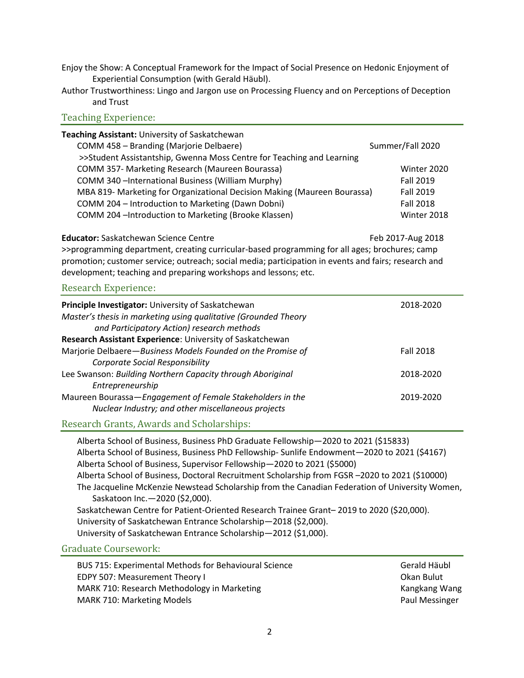- Enjoy the Show: A Conceptual Framework for the Impact of Social Presence on Hedonic Enjoyment of Experiential Consumption (with Gerald Häubl).
- Author Trustworthiness: Lingo and Jargon use on Processing Fluency and on Perceptions of Deception and Trust

## Teaching Experience:

| Teaching Assistant: University of Saskatchewan                           |                  |
|--------------------------------------------------------------------------|------------------|
| COMM 458 - Branding (Marjorie Delbaere)                                  | Summer/Fall 2020 |
| >>Student Assistantship, Gwenna Moss Centre for Teaching and Learning    |                  |
| COMM 357- Marketing Research (Maureen Bourassa)                          | Winter 2020      |
| COMM 340 - International Business (William Murphy)                       | <b>Fall 2019</b> |
| MBA 819- Marketing for Organizational Decision Making (Maureen Bourassa) | <b>Fall 2019</b> |
| COMM 204 - Introduction to Marketing (Dawn Dobni)                        | <b>Fall 2018</b> |
| COMM 204 - Introduction to Marketing (Brooke Klassen)                    | Winter 2018      |

**Educator:** Saskatchewan Science Centre Feb 2017-Aug 2018

>>programming department, creating curricular-based programming for all ages; brochures; camp promotion; customer service; outreach; social media; participation in events and fairs; research and development; teaching and preparing workshops and lessons; etc.

### Research Experience:

| Principle Investigator: University of Saskatchewan<br>Master's thesis in marketing using qualitative (Grounded Theory<br>and Participatory Action) research methods | 2018-2020        |
|---------------------------------------------------------------------------------------------------------------------------------------------------------------------|------------------|
| Research Assistant Experience: University of Saskatchewan                                                                                                           |                  |
| Marjorie Delbaere-Business Models Founded on the Promise of                                                                                                         | <b>Fall 2018</b> |
| <b>Corporate Social Responsibility</b>                                                                                                                              |                  |
| Lee Swanson: Building Northern Capacity through Aboriginal                                                                                                          | 2018-2020        |
| Entrepreneurship                                                                                                                                                    |                  |
| Maureen Bourassa-Engagement of Female Stakeholders in the                                                                                                           | 2019-2020        |
| Nuclear Industry; and other miscellaneous projects                                                                                                                  |                  |
|                                                                                                                                                                     |                  |

# Research Grants, Awards and Scholarships:

Alberta School of Business, Business PhD Graduate Fellowship—2020 to 2021 (\$15833) Alberta School of Business, Business PhD Fellowship- Sunlife Endowment—2020 to 2021 (\$4167) Alberta School of Business, Supervisor Fellowship—2020 to 2021 (\$5000) Alberta School of Business, Doctoral Recruitment Scholarship from FGSR –2020 to 2021 (\$10000) The Jacqueline McKenzie Newstead Scholarship from the Canadian Federation of University Women, Saskatoon Inc.—2020 (\$2,000). Saskatchewan Centre for Patient-Oriented Research Trainee Grant– 2019 to 2020 (\$20,000). University of Saskatchewan Entrance Scholarship—2018 (\$2,000). University of Saskatchewan Entrance Scholarship—2012 (\$1,000).

## Graduate Coursework:

| <b>BUS 715: Experimental Methods for Behavioural Science</b> | Gerald Häu         |
|--------------------------------------------------------------|--------------------|
| EDPY 507: Measurement Theory I                               | Okan Bulut         |
| MARK 710: Research Methodology in Marketing                  | Kangkang V         |
| <b>MARK 710: Marketing Models</b>                            | <b>Paul Messir</b> |

Gerald Häubl Kangkang Wang Paul Messinger